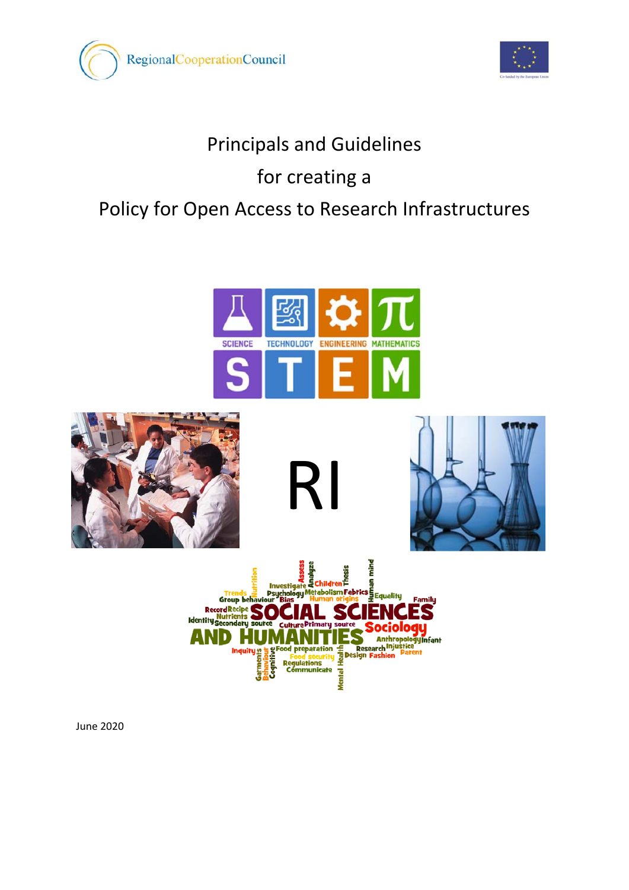











RI

June 2020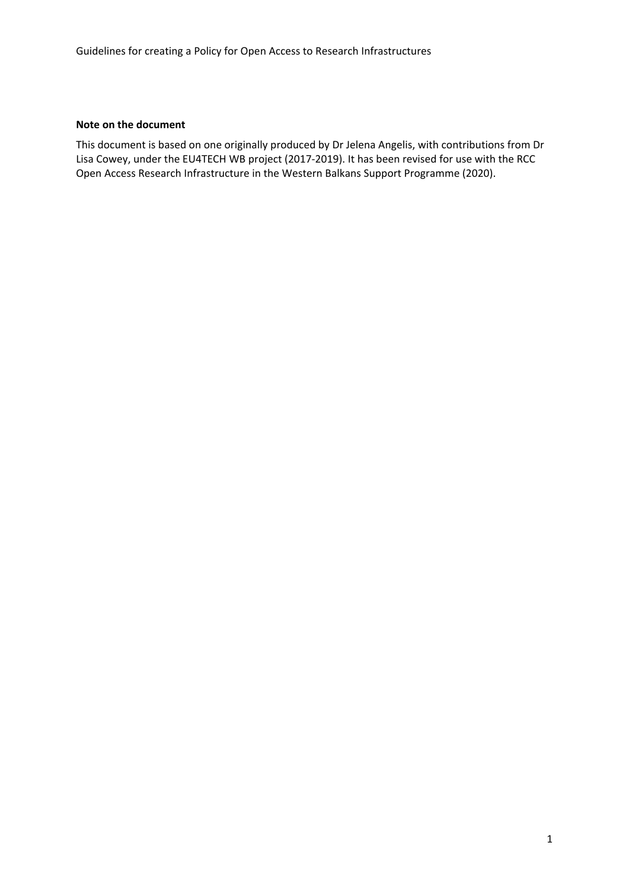#### **Note on the document**

This document is based on one originally produced by Dr Jelena Angelis, with contributions from Dr Lisa Cowey, under the EU4TECH WB project (2017-2019). It has been revised for use with the RCC Open Access Research Infrastructure in the Western Balkans Support Programme (2020).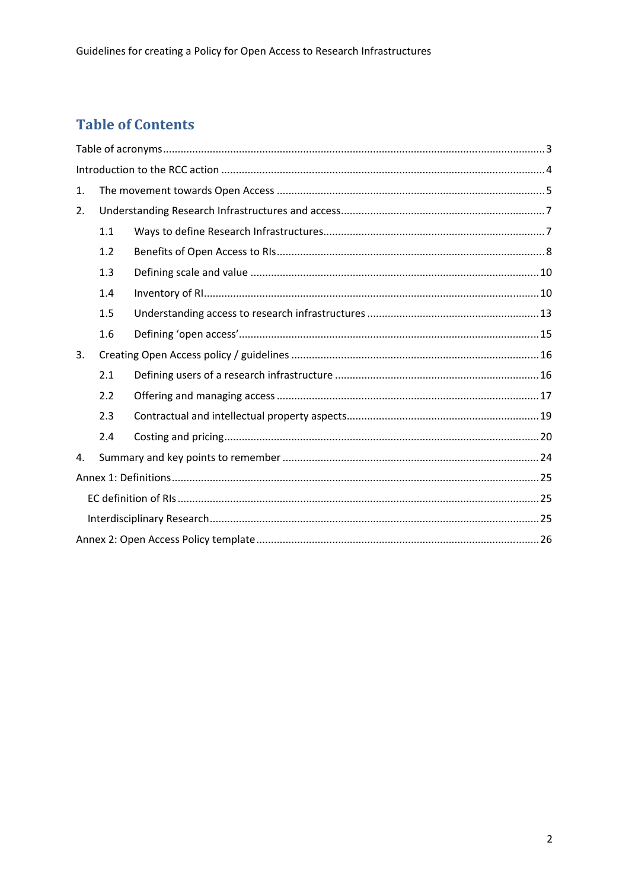# **Table of Contents**

| 1. |     |  |  |  |  |
|----|-----|--|--|--|--|
| 2. |     |  |  |  |  |
|    | 1.1 |  |  |  |  |
|    | 1.2 |  |  |  |  |
|    | 1.3 |  |  |  |  |
|    | 1.4 |  |  |  |  |
|    | 1.5 |  |  |  |  |
|    | 1.6 |  |  |  |  |
| 3. |     |  |  |  |  |
|    | 2.1 |  |  |  |  |
|    | 2.2 |  |  |  |  |
|    | 2.3 |  |  |  |  |
|    | 2.4 |  |  |  |  |
| 4. |     |  |  |  |  |
|    |     |  |  |  |  |
|    |     |  |  |  |  |
|    |     |  |  |  |  |
|    |     |  |  |  |  |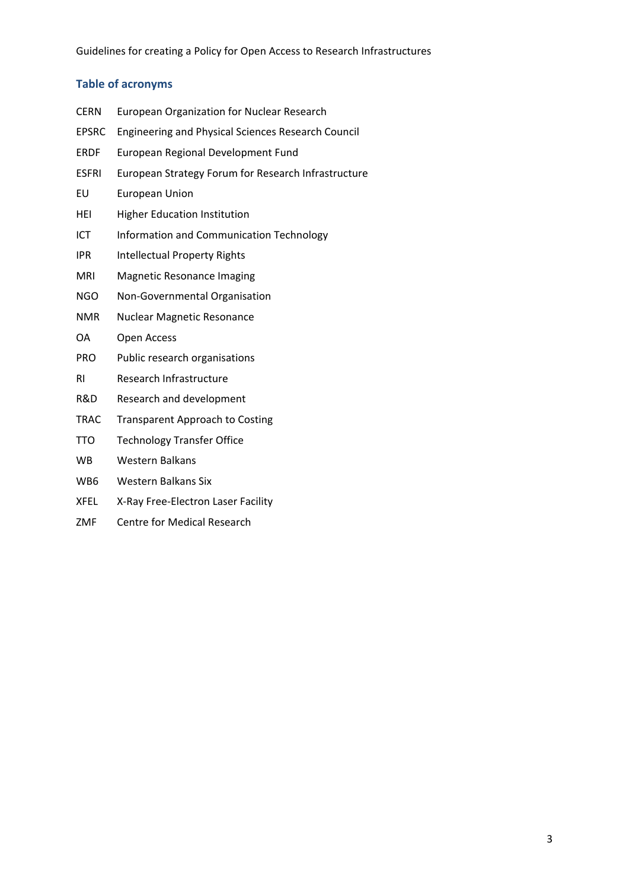## **Table of acronyms**

| <b>European Organization for Nuclear Research</b>         |  |  |  |
|-----------------------------------------------------------|--|--|--|
| <b>Engineering and Physical Sciences Research Council</b> |  |  |  |
| European Regional Development Fund                        |  |  |  |
| European Strategy Forum for Research Infrastructure       |  |  |  |
| <b>European Union</b>                                     |  |  |  |
| <b>Higher Education Institution</b>                       |  |  |  |
| Information and Communication Technology                  |  |  |  |
| <b>Intellectual Property Rights</b>                       |  |  |  |
| <b>Magnetic Resonance Imaging</b>                         |  |  |  |
| Non-Governmental Organisation                             |  |  |  |
| Nuclear Magnetic Resonance                                |  |  |  |
| Open Access                                               |  |  |  |
| Public research organisations                             |  |  |  |
| Research Infrastructure                                   |  |  |  |
| Research and development                                  |  |  |  |
| <b>Transparent Approach to Costing</b>                    |  |  |  |
| <b>Technology Transfer Office</b>                         |  |  |  |
| <b>Western Balkans</b>                                    |  |  |  |
| <b>Western Balkans Six</b>                                |  |  |  |
| X-Ray Free-Electron Laser Facility                        |  |  |  |
|                                                           |  |  |  |

ZMF Centre for Medical Research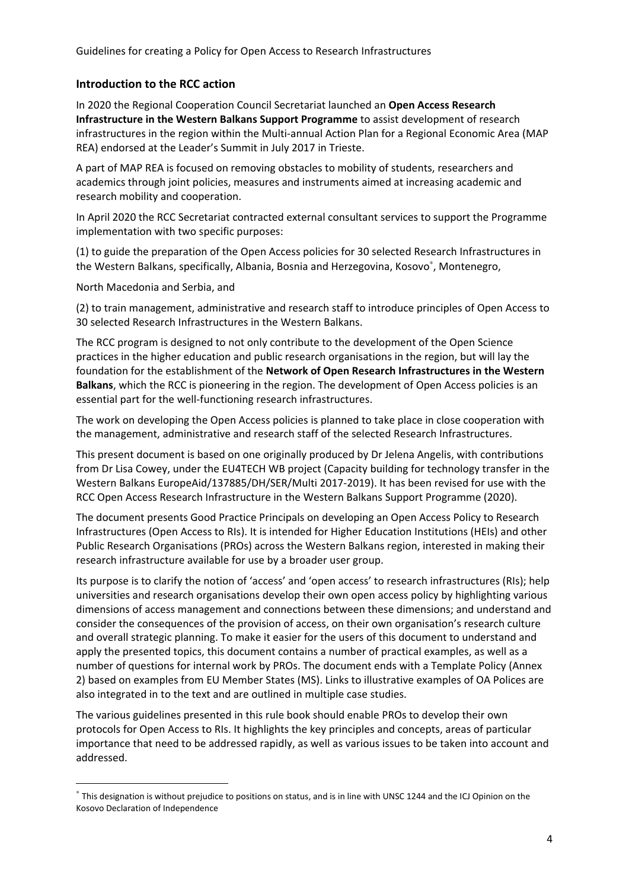#### **Introduction to the RCC action**

In 2020 the Regional Cooperation Council Secretariat launched an **Open Access Research Infrastructure in the Western Balkans Support Programme** to assist development of research infrastructures in the region within the Multi-annual Action Plan for a Regional Economic Area (MAP REA) endorsed at the Leader's Summit in July 2017 in Trieste.

A part of MAP REA is focused on removing obstacles to mobility of students, researchers and academics through joint policies, measures and instruments aimed at increasing academic and research mobility and cooperation.

In April 2020 the RCC Secretariat contracted external consultant services to support the Programme implementation with two specific purposes:

(1) to guide the preparation of the Open Access policies for 30 selected Research Infrastructures in the Western Balkans, specifically, Albania, Bosnia and Herzegovina, Kosovo<sup>\*</sup>, Montenegro,

North Macedonia and Serbia, and

**.** 

(2) to train management, administrative and research staff to introduce principles of Open Access to 30 selected Research Infrastructures in the Western Balkans.

The RCC program is designed to not only contribute to the development of the Open Science practices in the higher education and public research organisations in the region, but will lay the foundation for the establishment of the **Network of Open Research Infrastructures in the Western Balkans**, which the RCC is pioneering in the region. The development of Open Access policies is an essential part for the well-functioning research infrastructures.

The work on developing the Open Access policies is planned to take place in close cooperation with the management, administrative and research staff of the selected Research Infrastructures.

This present document is based on one originally produced by Dr Jelena Angelis, with contributions from Dr Lisa Cowey, under the EU4TECH WB project (Capacity building for technology transfer in the Western Balkans EuropeAid/137885/DH/SER/Multi 2017-2019). It has been revised for use with the RCC Open Access Research Infrastructure in the Western Balkans Support Programme (2020).

The document presents Good Practice Principals on developing an Open Access Policy to Research Infrastructures (Open Access to RIs). It is intended for Higher Education Institutions (HEIs) and other Public Research Organisations (PROs) across the Western Balkans region, interested in making their research infrastructure available for use by a broader user group.

Its purpose is to clarify the notion of 'access' and 'open access' to research infrastructures (RIs); help universities and research organisations develop their own open access policy by highlighting various dimensions of access management and connections between these dimensions; and understand and consider the consequences of the provision of access, on their own organisation's research culture and overall strategic planning. To make it easier for the users of this document to understand and apply the presented topics, this document contains a number of practical examples, as well as a number of questions for internal work by PROs. The document ends with a Template Policy (Annex 2) based on examples from EU Member States (MS). Links to illustrative examples of OA Polices are also integrated in to the text and are outlined in multiple case studies.

The various guidelines presented in this rule book should enable PROs to develop their own protocols for Open Access to RIs. It highlights the key principles and concepts, areas of particular importance that need to be addressed rapidly, as well as various issues to be taken into account and addressed.

<sup>∗</sup> This designation is without prejudice to positions on status, and is in line with UNSC 1244 and the ICJ Opinion on the Kosovo Declaration of Independence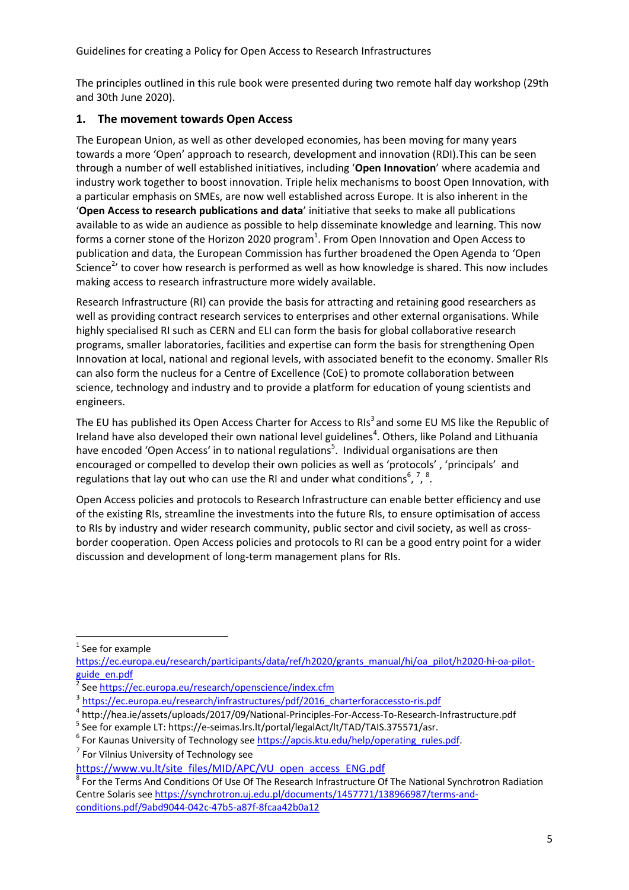The principles outlined in this rule book were presented during two remote half day workshop (29th and 30th June 2020).

## **1. The movement towards Open Access**

The European Union, as well as other developed economies, has been moving for many years towards a more 'Open' approach to research, development and innovation (RDI).This can be seen through a number of well established initiatives, including '**Open Innovation**' where academia and industry work together to boost innovation. Triple helix mechanisms to boost Open Innovation, with a particular emphasis on SMEs, are now well established across Europe. It is also inherent in the '**Open Access to research publications and data**' initiative that seeks to make all publications available to as wide an audience as possible to help disseminate knowledge and learning. This now forms a corner stone of the Horizon 2020 program<sup>1</sup>. From Open Innovation and Open Access to publication and data, the European Commission has further broadened the Open Agenda to 'Open Science<sup>2</sup>' to cover how research is performed as well as how knowledge is shared. This now includes making access to research infrastructure more widely available.

Research Infrastructure (RI) can provide the basis for attracting and retaining good researchers as well as providing contract research services to enterprises and other external organisations. While highly specialised RI such as CERN and ELI can form the basis for global collaborative research programs, smaller laboratories, facilities and expertise can form the basis for strengthening Open Innovation at local, national and regional levels, with associated benefit to the economy. Smaller RIs can also form the nucleus for a Centre of Excellence (CoE) to promote collaboration between science, technology and industry and to provide a platform for education of young scientists and engineers.

The EU has published its Open Access Charter for Access to RIs<sup>3</sup> and some EU MS like the Republic of Ireland have also developed their own national level guidelines<sup>4</sup>. Others, like Poland and Lithuania have encoded 'Open Access' in to national regulations<sup>5</sup>. Individual organisations are then encouraged or compelled to develop their own policies as well as 'protocols' , 'principals' and regulations that lay out who can use the RI and under what conditions<sup>6</sup>, <sup>7</sup>, <sup>8</sup>.

Open Access policies and protocols to Research Infrastructure can enable better efficiency and use of the existing RIs, streamline the investments into the future RIs, to ensure optimisation of access to RIs by industry and wider research community, public sector and civil society, as well as crossborder cooperation. Open Access policies and protocols to RI can be a good entry point for a wider discussion and development of long-term management plans for RIs.

**<sup>.</sup>** <sup>1</sup> See for example

https://ec.europa.eu/research/participants/data/ref/h2020/grants\_manual/hi/oa\_pilot/h2020-hi-oa-pilotguide\_en.pdf<br><sup>2</sup> See https://

See https://ec.europa.eu/research/openscience/index.cfm

 $\frac{3}{1}$  https://ec.europa.eu/research/infrastructures/pdf/2016\_charterforaccessto-ris.pdf  $\frac{4}{1}$  https://hee is /essets/upleads/2017/00/National Dringiples For Assess To Besearch

http://hea.ie/assets/uploads/2017/09/National-Principles-For-Access-To-Research-Infrastructure.pdf 5

<sup>&</sup>lt;sup>5</sup> See for example LT: https://e-seimas.lrs.lt/portal/legalAct/lt/TAD/TAIS.375571/asr.

<sup>&</sup>lt;sup>6</sup> For Kaunas University of Technology see https://apcis.ktu.edu/help/operating rules.pdf. <sup>7</sup> For Vilnius University of Technology see

https://www.vu.lt/site\_files/MID/APC/VU\_open\_access\_ENG.pdf

<sup>&</sup>lt;sup>8</sup> For the Terms And Conditions Of Use Of The Research Infrastructure Of The National Synchrotron Radiation Centre Solaris see https://synchrotron.uj.edu.pl/documents/1457771/138966987/terms-andconditions.pdf/9abd9044-042c-47b5-a87f-8fcaa42b0a12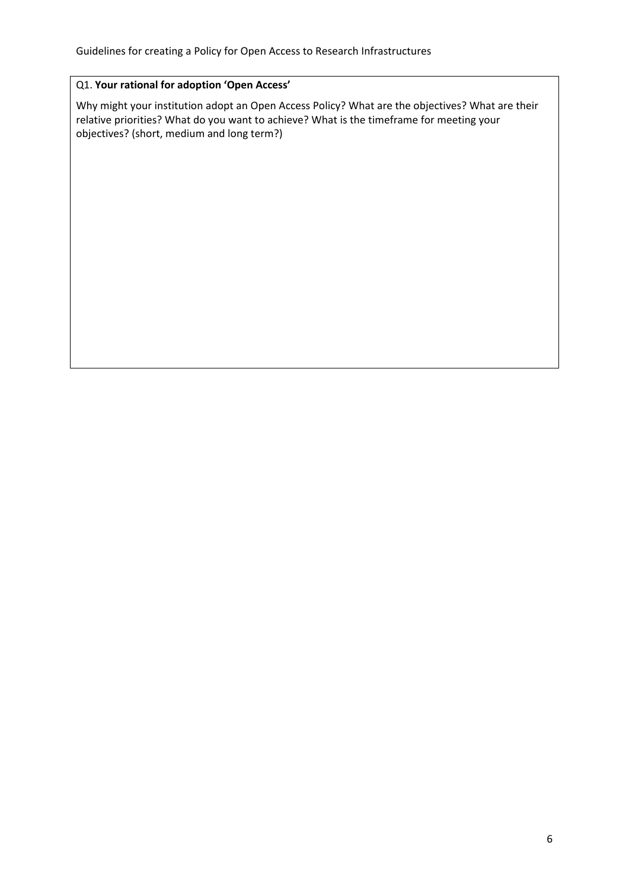## Q1. **Your rational for adoption 'Open Access'**

Why might your institution adopt an Open Access Policy? What are the objectives? What are their relative priorities? What do you want to achieve? What is the timeframe for meeting your objectives? (short, medium and long term?)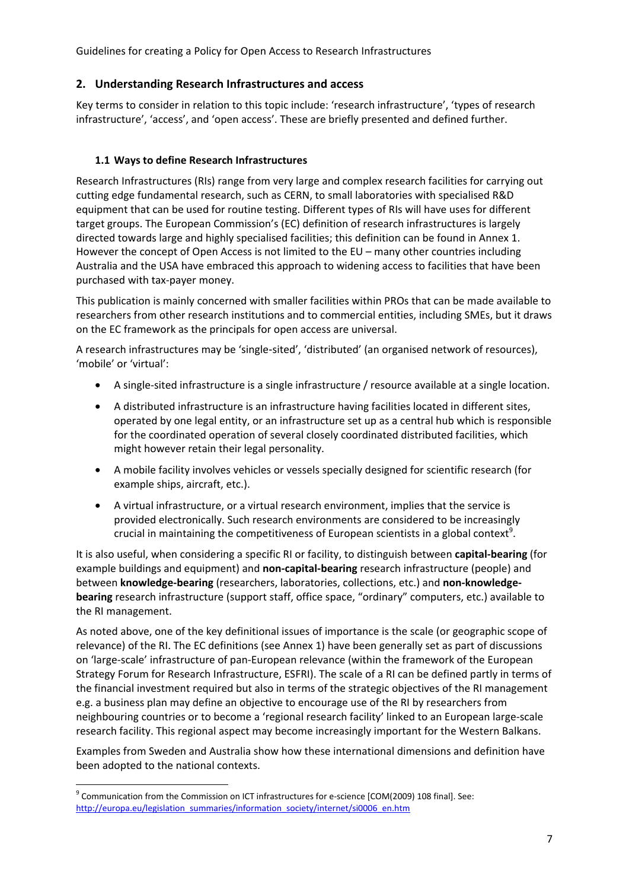## **2. Understanding Research Infrastructures and access**

Key terms to consider in relation to this topic include: 'research infrastructure', 'types of research infrastructure', 'access', and 'open access'. These are briefly presented and defined further.

## **1.1 Ways to define Research Infrastructures**

Research Infrastructures (RIs) range from very large and complex research facilities for carrying out cutting edge fundamental research, such as CERN, to small laboratories with specialised R&D equipment that can be used for routine testing. Different types of RIs will have uses for different target groups. The European Commission's (EC) definition of research infrastructures is largely directed towards large and highly specialised facilities; this definition can be found in Annex 1. However the concept of Open Access is not limited to the EU – many other countries including Australia and the USA have embraced this approach to widening access to facilities that have been purchased with tax-payer money.

This publication is mainly concerned with smaller facilities within PROs that can be made available to researchers from other research institutions and to commercial entities, including SMEs, but it draws on the EC framework as the principals for open access are universal.

A research infrastructures may be 'single‑sited', 'distributed' (an organised network of resources), 'mobile' or 'virtual':

- A single-sited infrastructure is a single infrastructure / resource available at a single location.
- A distributed infrastructure is an infrastructure having facilities located in different sites, operated by one legal entity, or an infrastructure set up as a central hub which is responsible for the coordinated operation of several closely coordinated distributed facilities, which might however retain their legal personality.
- A mobile facility involves vehicles or vessels specially designed for scientific research (for example ships, aircraft, etc.).
- A virtual infrastructure, or a virtual research environment, implies that the service is provided electronically. Such research environments are considered to be increasingly crucial in maintaining the competitiveness of European scientists in a global context<sup>9</sup>.

It is also useful, when considering a specific RI or facility, to distinguish between **capital-bearing** (for example buildings and equipment) and **non-capital-bearing** research infrastructure (people) and between **knowledge-bearing** (researchers, laboratories, collections, etc.) and **non-knowledgebearing** research infrastructure (support staff, office space, "ordinary" computers, etc.) available to the RI management.

As noted above, one of the key definitional issues of importance is the scale (or geographic scope of relevance) of the RI. The EC definitions (see Annex 1) have been generally set as part of discussions on 'large-scale' infrastructure of pan-European relevance (within the framework of the European Strategy Forum for Research Infrastructure, ESFRI). The scale of a RI can be defined partly in terms of the financial investment required but also in terms of the strategic objectives of the RI management e.g. a business plan may define an objective to encourage use of the RI by researchers from neighbouring countries or to become a 'regional research facility' linked to an European large-scale research facility. This regional aspect may become increasingly important for the Western Balkans.

Examples from Sweden and Australia show how these international dimensions and definition have been adopted to the national contexts.

**<sup>.</sup>** <sup>9</sup> Communication from the Commission on ICT infrastructures for e-science [COM(2009) 108 final]. See: http://europa.eu/legislation\_summaries/information\_society/internet/si0006\_en.htm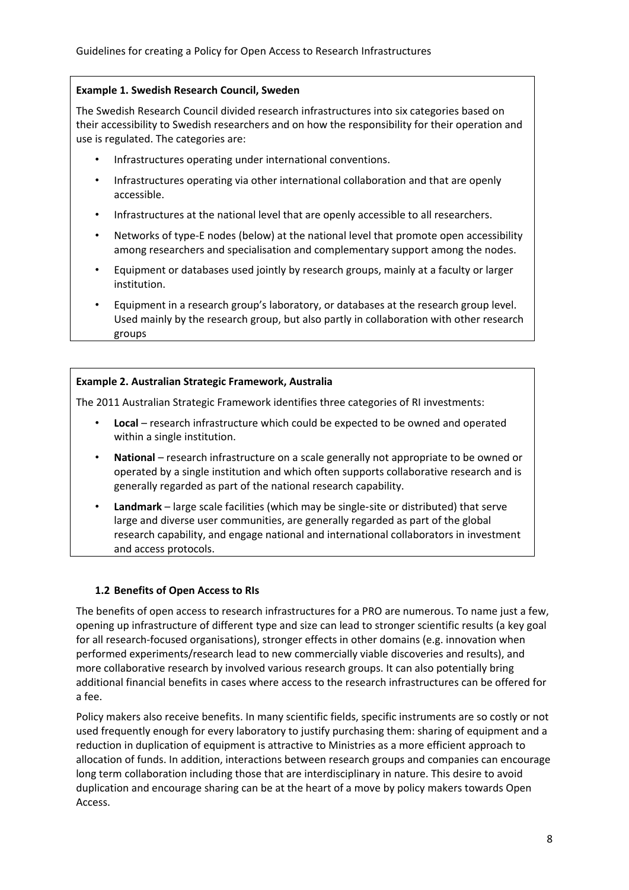## **Example 1. Swedish Research Council, Sweden**

The Swedish Research Council divided research infrastructures into six categories based on their accessibility to Swedish researchers and on how the responsibility for their operation and use is regulated. The categories are:

- Infrastructures operating under international conventions.
- Infrastructures operating via other international collaboration and that are openly accessible.
- Infrastructures at the national level that are openly accessible to all researchers.
- Networks of type-E nodes (below) at the national level that promote open accessibility among researchers and specialisation and complementary support among the nodes.
- Equipment or databases used jointly by research groups, mainly at a faculty or larger institution.
- Equipment in a research group's laboratory, or databases at the research group level. Used mainly by the research group, but also partly in collaboration with other research groups

## **Example 2. Australian Strategic Framework, Australia**

The 2011 Australian Strategic Framework identifies three categories of RI investments:

- **Local** research infrastructure which could be expected to be owned and operated within a single institution.
- **National** research infrastructure on a scale generally not appropriate to be owned or operated by a single institution and which often supports collaborative research and is generally regarded as part of the national research capability.
- **Landmark** large scale facilities (which may be single‑site or distributed) that serve large and diverse user communities, are generally regarded as part of the global research capability, and engage national and international collaborators in investment and access protocols.

## **1.2 Benefits of Open Access to RIs**

The benefits of open access to research infrastructures for a PRO are numerous. To name just a few, opening up infrastructure of different type and size can lead to stronger scientific results (a key goal for all research-focused organisations), stronger effects in other domains (e.g. innovation when performed experiments/research lead to new commercially viable discoveries and results), and more collaborative research by involved various research groups. It can also potentially bring additional financial benefits in cases where access to the research infrastructures can be offered for a fee.

Policy makers also receive benefits. In many scientific fields, specific instruments are so costly or not used frequently enough for every laboratory to justify purchasing them: sharing of equipment and a reduction in duplication of equipment is attractive to Ministries as a more efficient approach to allocation of funds. In addition, interactions between research groups and companies can encourage long term collaboration including those that are interdisciplinary in nature. This desire to avoid duplication and encourage sharing can be at the heart of a move by policy makers towards Open Access.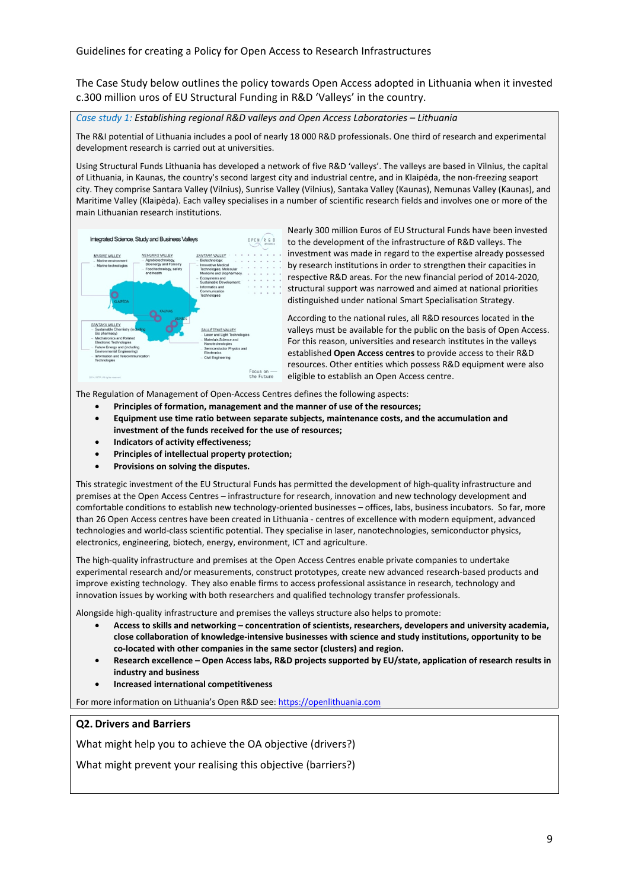The Case Study below outlines the policy towards Open Access adopted in Lithuania when it invested c.300 million uros of EU Structural Funding in R&D 'Valleys' in the country.

*Case study 1: Establishing regional R&D valleys and Open Access Laboratories – Lithuania*

The R&I potential of Lithuania includes a pool of nearly 18 000 R&D professionals. One third of research and experimental development research is carried out at universities.

Using Structural Funds Lithuania has developed a network of five R&D 'valleys'. The valleys are based in Vilnius, the capital of Lithuania, in Kaunas, the country's second largest city and industrial centre, and in Klaipėda, the non-freezing seaport city. They comprise Santara Valley (Vilnius), Sunrise Valley (Vilnius), Santaka Valley (Kaunas), Nemunas Valley (Kaunas), and Maritime Valley (Klaipėda). Each valley specialises in a number of scientific research fields and involves one or more of the main Lithuanian research institutions.



Nearly 300 million Euros of EU Structural Funds have been invested to the development of the infrastructure of R&D valleys. The investment was made in regard to the expertise already possessed by research institutions in order to strengthen their capacities in respective R&D areas. For the new financial period of 2014-2020, structural support was narrowed and aimed at national priorities distinguished under national Smart Specialisation Strategy.

According to the national rules, all R&D resources located in the valleys must be available for the public on the basis of Open Access. For this reason, universities and research institutes in the valleys established **Open Access centres** to provide access to their R&D resources. Other entities which possess R&D equipment were also eligible to establish an Open Access centre.

The Regulation of Management of Open-Access Centres defines the following aspects:

- **Principles of formation, management and the manner of use of the resources;**
- **Equipment use time ratio between separate subjects, maintenance costs, and the accumulation and investment of the funds received for the use of resources;**
- **Indicators of activity effectiveness;**
- **Principles of intellectual property protection;**
- **Provisions on solving the disputes.**

This strategic investment of the EU Structural Funds has permitted the development of high-quality infrastructure and premises at the Open Access Centres – infrastructure for research, innovation and new technology development and comfortable conditions to establish new technology-oriented businesses – offices, labs, business incubators. So far, more than 26 Open Access centres have been created in Lithuania - centres of excellence with modern equipment, advanced technologies and world-class scientific potential. They specialise in laser, nanotechnologies, semiconductor physics, electronics, engineering, biotech, energy, environment, ICT and agriculture.

The high-quality infrastructure and premises at the Open Access Centres enable private companies to undertake experimental research and/or measurements, construct prototypes, create new advanced research-based products and improve existing technology. They also enable firms to access professional assistance in research, technology and innovation issues by working with both researchers and qualified technology transfer professionals.

Alongside high-quality infrastructure and premises the valleys structure also helps to promote:

- **Access to skills and networking concentration of scientists, researchers, developers and university academia, close collaboration of knowledge-intensive businesses with science and study institutions, opportunity to be co-located with other companies in the same sector (clusters) and region.**
- **Research excellence Open Access labs, R&D projects supported by EU/state, application of research results in industry and business**
- **Increased international competitiveness**

For more information on Lithuania's Open R&D see: https://openlithuania.com

#### **Q2. Drivers and Barriers**

What might help you to achieve the OA objective (drivers?)

What might prevent your realising this objective (barriers?)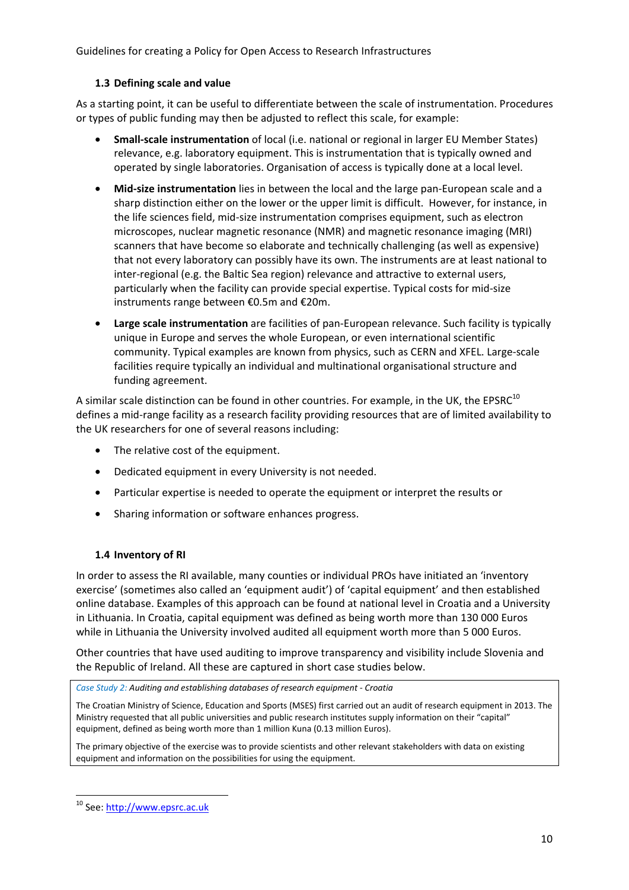#### **1.3 Defining scale and value**

As a starting point, it can be useful to differentiate between the scale of instrumentation. Procedures or types of public funding may then be adjusted to reflect this scale, for example:

- **Small-scale instrumentation** of local (i.e. national or regional in larger EU Member States) relevance, e.g. laboratory equipment. This is instrumentation that is typically owned and operated by single laboratories. Organisation of access is typically done at a local level.
- **Mid-size instrumentation** lies in between the local and the large pan-European scale and a sharp distinction either on the lower or the upper limit is difficult. However, for instance, in the life sciences field, mid-size instrumentation comprises equipment, such as electron microscopes, nuclear magnetic resonance (NMR) and magnetic resonance imaging (MRI) scanners that have become so elaborate and technically challenging (as well as expensive) that not every laboratory can possibly have its own. The instruments are at least national to inter-regional (e.g. the Baltic Sea region) relevance and attractive to external users, particularly when the facility can provide special expertise. Typical costs for mid-size instruments range between €0.5m and €20m.
- **Large scale instrumentation** are facilities of pan-European relevance. Such facility is typically unique in Europe and serves the whole European, or even international scientific community. Typical examples are known from physics, such as CERN and XFEL. Large-scale facilities require typically an individual and multinational organisational structure and funding agreement.

A similar scale distinction can be found in other countries. For example, in the UK, the EPSRC $^{10}$ defines a mid-range facility as a research facility providing resources that are of limited availability to the UK researchers for one of several reasons including:

- The relative cost of the equipment.
- Dedicated equipment in every University is not needed.
- Particular expertise is needed to operate the equipment or interpret the results or
- Sharing information or software enhances progress.

## **1.4 Inventory of RI**

In order to assess the RI available, many counties or individual PROs have initiated an 'inventory exercise' (sometimes also called an 'equipment audit') of 'capital equipment' and then established online database. Examples of this approach can be found at national level in Croatia and a University in Lithuania. In Croatia, capital equipment was defined as being worth more than 130 000 Euros while in Lithuania the University involved audited all equipment worth more than 5 000 Euros.

Other countries that have used auditing to improve transparency and visibility include Slovenia and the Republic of Ireland. All these are captured in short case studies below.

*Case Study 2: Auditing and establishing databases of research equipment - Croatia* 

The Croatian Ministry of Science, Education and Sports (MSES) first carried out an audit of research equipment in 2013. The Ministry requested that all public universities and public research institutes supply information on their "capital" equipment, defined as being worth more than 1 million Kuna (0.13 million Euros).

The primary objective of the exercise was to provide scientists and other relevant stakeholders with data on existing equipment and information on the possibilities for using the equipment.

**.** 

<sup>10</sup> See: http://www.epsrc.ac.uk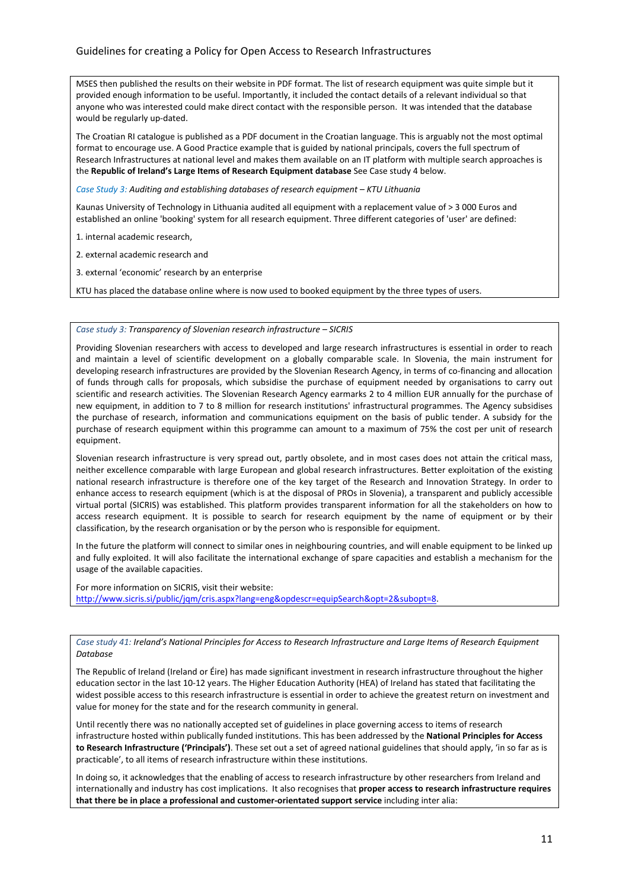MSES then published the results on their website in PDF format. The list of research equipment was quite simple but it provided enough information to be useful. Importantly, it included the contact details of a relevant individual so that anyone who was interested could make direct contact with the responsible person. It was intended that the database would be regularly up-dated.

The Croatian RI catalogue is published as a PDF document in the Croatian language. This is arguably not the most optimal format to encourage use. A Good Practice example that is guided by national principals, covers the full spectrum of Research Infrastructures at national level and makes them available on an IT platform with multiple search approaches is the **Republic of Ireland's Large Items of Research Equipment database** See Case study 4 below.

*Case Study 3: Auditing and establishing databases of research equipment – KTU Lithuania* 

Kaunas University of Technology in Lithuania audited all equipment with a replacement value of > 3 000 Euros and established an online 'booking' system for all research equipment. Three different categories of 'user' are defined:

- 1. internal academic research,
- 2. external academic research and
- 3. external 'economic' research by an enterprise

KTU has placed the database online where is now used to booked equipment by the three types of users.

#### *Case study 3: Transparency of Slovenian research infrastructure – SICRIS*

Providing Slovenian researchers with access to developed and large research infrastructures is essential in order to reach and maintain a level of scientific development on a globally comparable scale. In Slovenia, the main instrument for developing research infrastructures are provided by the Slovenian Research Agency, in terms of co-financing and allocation of funds through calls for proposals, which subsidise the purchase of equipment needed by organisations to carry out scientific and research activities. The Slovenian Research Agency earmarks 2 to 4 million EUR annually for the purchase of new equipment, in addition to 7 to 8 million for research institutions' infrastructural programmes. The Agency subsidises the purchase of research, information and communications equipment on the basis of public tender. A subsidy for the purchase of research equipment within this programme can amount to a maximum of 75% the cost per unit of research equipment.

Slovenian research infrastructure is very spread out, partly obsolete, and in most cases does not attain the critical mass, neither excellence comparable with large European and global research infrastructures. Better exploitation of the existing national research infrastructure is therefore one of the key target of the Research and Innovation Strategy. In order to enhance access to research equipment (which is at the disposal of PROs in Slovenia), a transparent and publicly accessible virtual portal (SICRIS) was established. This platform provides transparent information for all the stakeholders on how to access research equipment. It is possible to search for research equipment by the name of equipment or by their classification, by the research organisation or by the person who is responsible for equipment.

In the future the platform will connect to similar ones in neighbouring countries, and will enable equipment to be linked up and fully exploited. It will also facilitate the international exchange of spare capacities and establish a mechanism for the usage of the available capacities.

For more information on SICRIS, visit their website: http://www.sicris.si/public/jqm/cris.aspx?lang=eng&opdescr=equipSearch&opt=2&subopt=8.

*Case study 41: Ireland's National Principles for Access to Research Infrastructure and Large Items of Research Equipment Database* 

The Republic of Ireland (Ireland or Éire) has made significant investment in research infrastructure throughout the higher education sector in the last 10-12 years. The Higher Education Authority (HEA) of Ireland has stated that facilitating the widest possible access to this research infrastructure is essential in order to achieve the greatest return on investment and value for money for the state and for the research community in general.

Until recently there was no nationally accepted set of guidelines in place governing access to items of research infrastructure hosted within publically funded institutions. This has been addressed by the **National Principles for Access to Research Infrastructure ('Principals')**. These set out a set of agreed national guidelines that should apply, 'in so far as is practicable', to all items of research infrastructure within these institutions.

In doing so, it acknowledges that the enabling of access to research infrastructure by other researchers from Ireland and internationally and industry has cost implications. It also recognises that **proper access to research infrastructure requires that there be in place a professional and customer-orientated support service** including inter alia: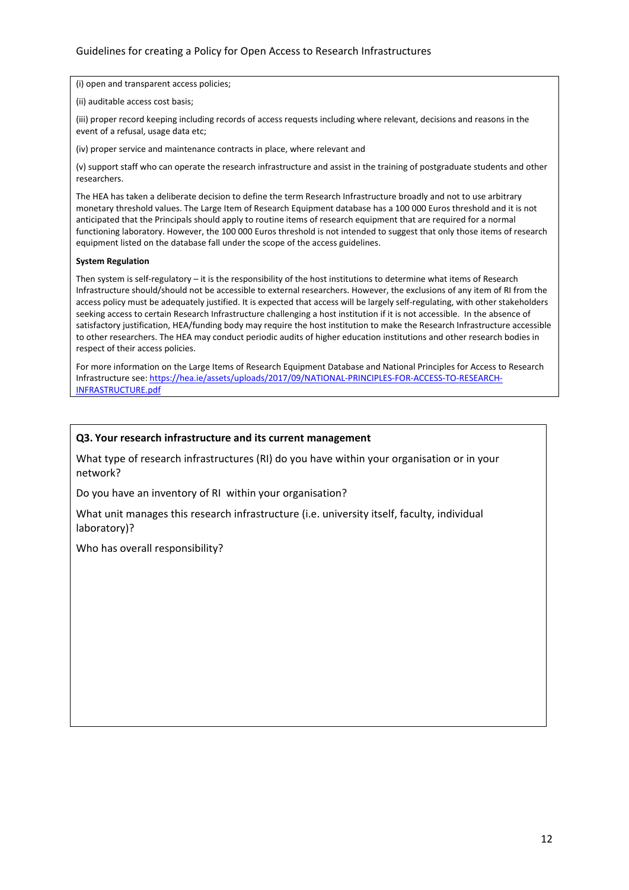(i) open and transparent access policies;

(ii) auditable access cost basis;

(iii) proper record keeping including records of access requests including where relevant, decisions and reasons in the event of a refusal, usage data etc;

(iv) proper service and maintenance contracts in place, where relevant and

(v) support staff who can operate the research infrastructure and assist in the training of postgraduate students and other researchers.

The HEA has taken a deliberate decision to define the term Research Infrastructure broadly and not to use arbitrary monetary threshold values. The Large Item of Research Equipment database has a 100 000 Euros threshold and it is not anticipated that the Principals should apply to routine items of research equipment that are required for a normal functioning laboratory. However, the 100 000 Euros threshold is not intended to suggest that only those items of research equipment listed on the database fall under the scope of the access guidelines.

#### **System Regulation**

Then system is self-regulatory – it is the responsibility of the host institutions to determine what items of Research Infrastructure should/should not be accessible to external researchers. However, the exclusions of any item of RI from the access policy must be adequately justified. It is expected that access will be largely self-regulating, with other stakeholders seeking access to certain Research Infrastructure challenging a host institution if it is not accessible. In the absence of satisfactory justification, HEA/funding body may require the host institution to make the Research Infrastructure accessible to other researchers. The HEA may conduct periodic audits of higher education institutions and other research bodies in respect of their access policies.

For more information on the Large Items of Research Equipment Database and National Principles for Access to Research Infrastructure see: https://hea.ie/assets/uploads/2017/09/NATIONAL-PRINCIPLES-FOR-ACCESS-TO-RESEARCH-INFRASTRUCTURE.pdf

#### **Q3. Your research infrastructure and its current management**

What type of research infrastructures (RI) do you have within your organisation or in your network?

Do you have an inventory of RI within your organisation?

What unit manages this research infrastructure (i.e. university itself, faculty, individual laboratory)?

Who has overall responsibility?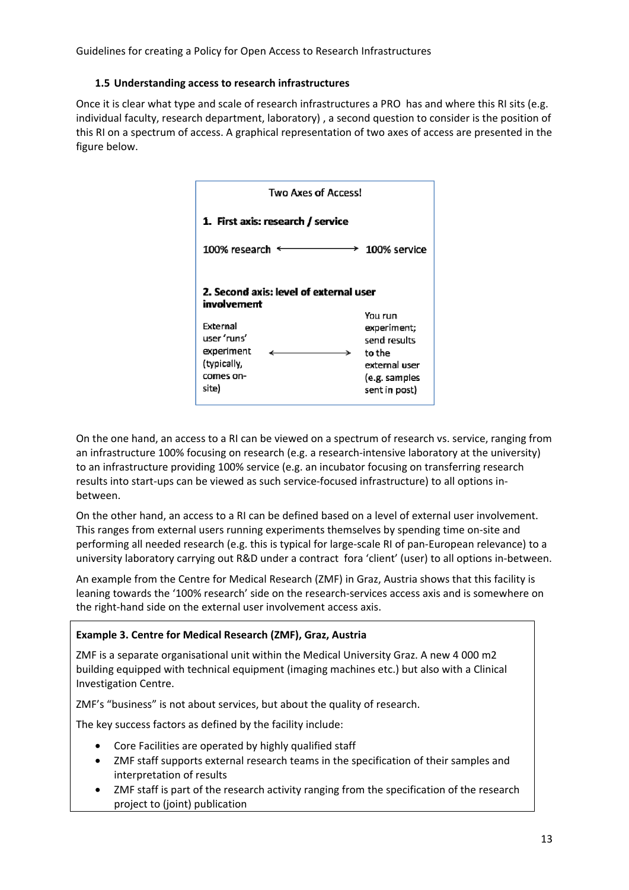#### **1.5 Understanding access to research infrastructures**

Once it is clear what type and scale of research infrastructures a PRO has and where this RI sits (e.g. individual faculty, research department, laboratory) , a second question to consider is the position of this RI on a spectrum of access. A graphical representation of two axes of access are presented in the figure below.

| <b>Two Axes of Access!</b>                                                                                                               |                                                                                                     |  |  |  |
|------------------------------------------------------------------------------------------------------------------------------------------|-----------------------------------------------------------------------------------------------------|--|--|--|
| 1. First axis: research / service                                                                                                        |                                                                                                     |  |  |  |
| 100% research $\epsilon$                                                                                                                 | 100% service                                                                                        |  |  |  |
| 2. Second axis: level of external user<br>involvement<br>External<br>user 'runs'<br>experiment<br>↘<br>(typically,<br>comes on-<br>site) | You run<br>experiment;<br>send results<br>to the<br>external user<br>(e.g. samples<br>sent in post) |  |  |  |

On the one hand, an access to a RI can be viewed on a spectrum of research vs. service, ranging from an infrastructure 100% focusing on research (e.g. a research-intensive laboratory at the university) to an infrastructure providing 100% service (e.g. an incubator focusing on transferring research results into start-ups can be viewed as such service-focused infrastructure) to all options inbetween.

On the other hand, an access to a RI can be defined based on a level of external user involvement. This ranges from external users running experiments themselves by spending time on-site and performing all needed research (e.g. this is typical for large-scale RI of pan-European relevance) to a university laboratory carrying out R&D under a contract fora 'client' (user) to all options in-between.

An example from the Centre for Medical Research (ZMF) in Graz, Austria shows that this facility is leaning towards the '100% research' side on the research-services access axis and is somewhere on the right-hand side on the external user involvement access axis.

## **Example 3. Centre for Medical Research (ZMF), Graz, Austria**

ZMF is a separate organisational unit within the Medical University Graz. A new 4 000 m2 building equipped with technical equipment (imaging machines etc.) but also with a Clinical Investigation Centre.

ZMF's "business" is not about services, but about the quality of research.

The key success factors as defined by the facility include:

- Core Facilities are operated by highly qualified staff
- ZMF staff supports external research teams in the specification of their samples and interpretation of results
- ZMF staff is part of the research activity ranging from the specification of the research project to (joint) publication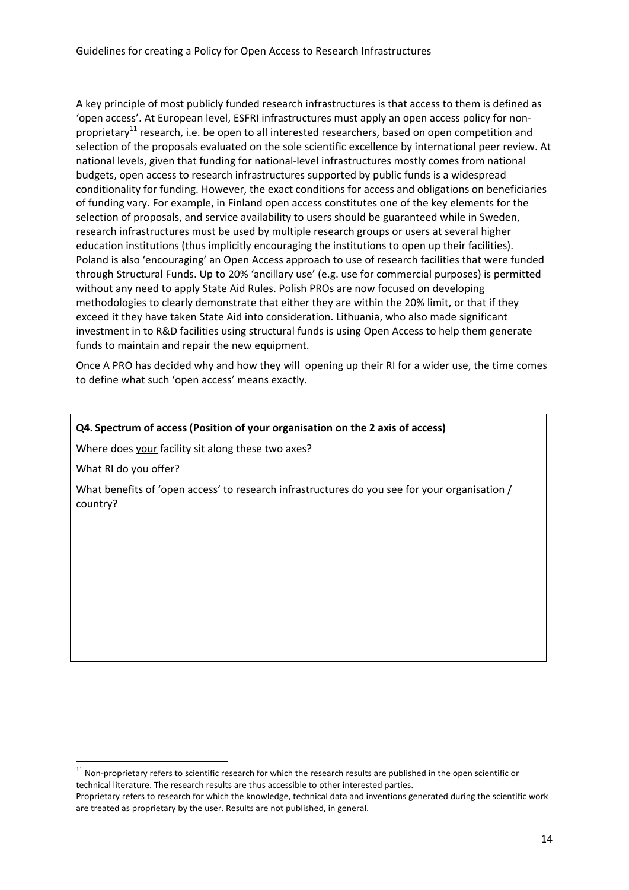A key principle of most publicly funded research infrastructures is that access to them is defined as 'open access'. At European level, ESFRI infrastructures must apply an open access policy for nonproprietary<sup>11</sup> research, i.e. be open to all interested researchers, based on open competition and selection of the proposals evaluated on the sole scientific excellence by international peer review. At national levels, given that funding for national-level infrastructures mostly comes from national budgets, open access to research infrastructures supported by public funds is a widespread conditionality for funding. However, the exact conditions for access and obligations on beneficiaries of funding vary. For example, in Finland open access constitutes one of the key elements for the selection of proposals, and service availability to users should be guaranteed while in Sweden, research infrastructures must be used by multiple research groups or users at several higher education institutions (thus implicitly encouraging the institutions to open up their facilities). Poland is also 'encouraging' an Open Access approach to use of research facilities that were funded through Structural Funds. Up to 20% 'ancillary use' (e.g. use for commercial purposes) is permitted without any need to apply State Aid Rules. Polish PROs are now focused on developing methodologies to clearly demonstrate that either they are within the 20% limit, or that if they exceed it they have taken State Aid into consideration. Lithuania, who also made significant investment in to R&D facilities using structural funds is using Open Access to help them generate funds to maintain and repair the new equipment.

Once A PRO has decided why and how they will opening up their RI for a wider use, the time comes to define what such 'open access' means exactly.

#### **Q4. Spectrum of access (Position of your organisation on the 2 axis of access)**

Where does your facility sit along these two axes?

What RI do you offer?

**.** 

What benefits of 'open access' to research infrastructures do you see for your organisation / country?

 $11$  Non-proprietary refers to scientific research for which the research results are published in the open scientific or technical literature. The research results are thus accessible to other interested parties.

Proprietary refers to research for which the knowledge, technical data and inventions generated during the scientific work are treated as proprietary by the user. Results are not published, in general.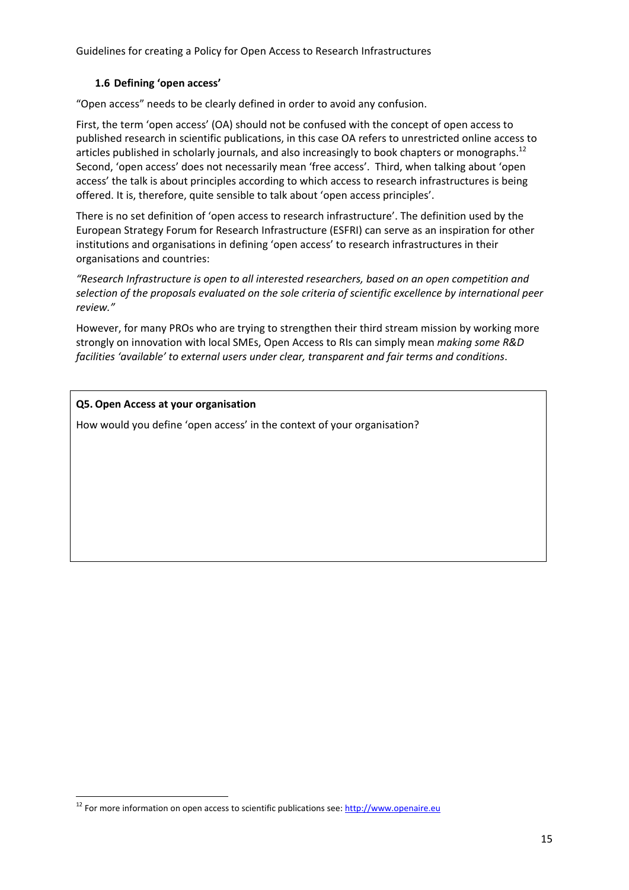#### **1.6 Defining 'open access'**

"Open access" needs to be clearly defined in order to avoid any confusion.

First, the term 'open access' (OA) should not be confused with the concept of open access to published research in scientific publications, in this case OA refers to unrestricted online access to articles published in scholarly journals, and also increasingly to book chapters or monographs.<sup>12</sup> Second, 'open access' does not necessarily mean 'free access'. Third, when talking about 'open access' the talk is about principles according to which access to research infrastructures is being offered. It is, therefore, quite sensible to talk about 'open access principles'.

There is no set definition of 'open access to research infrastructure'. The definition used by the European Strategy Forum for Research Infrastructure (ESFRI) can serve as an inspiration for other institutions and organisations in defining 'open access' to research infrastructures in their organisations and countries:

*"Research Infrastructure is open to all interested researchers, based on an open competition and selection of the proposals evaluated on the sole criteria of scientific excellence by international peer review."* 

However, for many PROs who are trying to strengthen their third stream mission by working more strongly on innovation with local SMEs, Open Access to RIs can simply mean *making some R&D facilities 'available' to external users under clear, transparent and fair terms and conditions*.

**Q5. Open Access at your organisation** 

**.** 

How would you define 'open access' in the context of your organisation?

 $12$  For more information on open access to scientific publications see: http://www.openaire.eu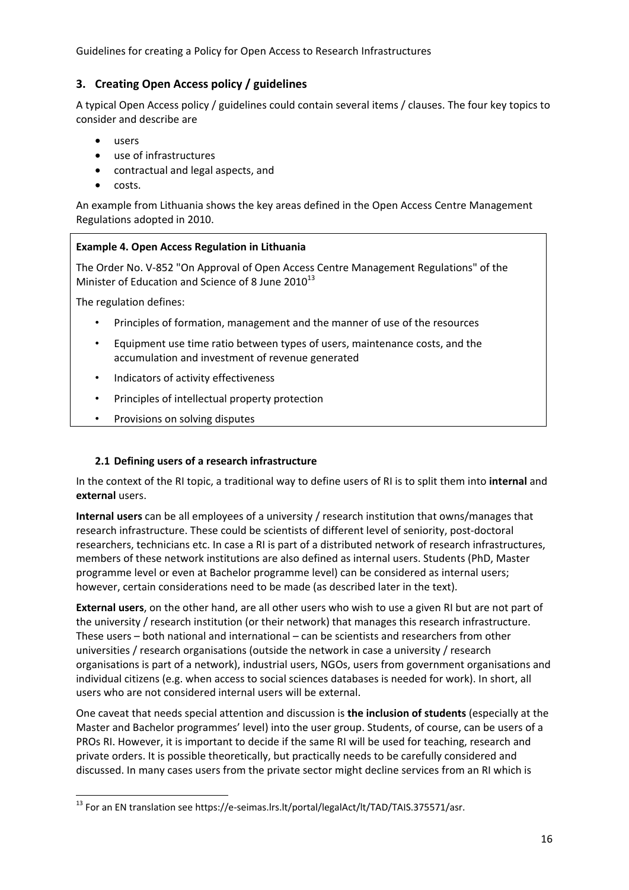## **3. Creating Open Access policy / guidelines**

A typical Open Access policy / guidelines could contain several items / clauses. The four key topics to consider and describe are

- users
- use of infrastructures
- contractual and legal aspects, and
- costs.

An example from Lithuania shows the key areas defined in the Open Access Centre Management Regulations adopted in 2010.

#### **Example 4. Open Access Regulation in Lithuania**

The Order No. V-852 "On Approval of Open Access Centre Management Regulations" of the Minister of Education and Science of 8 June  $2010^{13}$ 

The regulation defines:

**.** 

- Principles of formation, management and the manner of use of the resources
- Equipment use time ratio between types of users, maintenance costs, and the accumulation and investment of revenue generated
- Indicators of activity effectiveness
- Principles of intellectual property protection
- Provisions on solving disputes

#### **2.1 Defining users of a research infrastructure**

In the context of the RI topic, a traditional way to define users of RI is to split them into **internal** and **external** users.

**Internal users** can be all employees of a university / research institution that owns/manages that research infrastructure. These could be scientists of different level of seniority, post-doctoral researchers, technicians etc. In case a RI is part of a distributed network of research infrastructures, members of these network institutions are also defined as internal users. Students (PhD, Master programme level or even at Bachelor programme level) can be considered as internal users; however, certain considerations need to be made (as described later in the text).

**External users**, on the other hand, are all other users who wish to use a given RI but are not part of the university / research institution (or their network) that manages this research infrastructure. These users – both national and international – can be scientists and researchers from other universities / research organisations (outside the network in case a university / research organisations is part of a network), industrial users, NGOs, users from government organisations and individual citizens (e.g. when access to social sciences databases is needed for work). In short, all users who are not considered internal users will be external.

One caveat that needs special attention and discussion is **the inclusion of students** (especially at the Master and Bachelor programmes' level) into the user group. Students, of course, can be users of a PROs RI. However, it is important to decide if the same RI will be used for teaching, research and private orders. It is possible theoretically, but practically needs to be carefully considered and discussed. In many cases users from the private sector might decline services from an RI which is

<sup>&</sup>lt;sup>13</sup> For an EN translation see https://e-seimas.lrs.lt/portal/legalAct/lt/TAD/TAIS.375571/asr.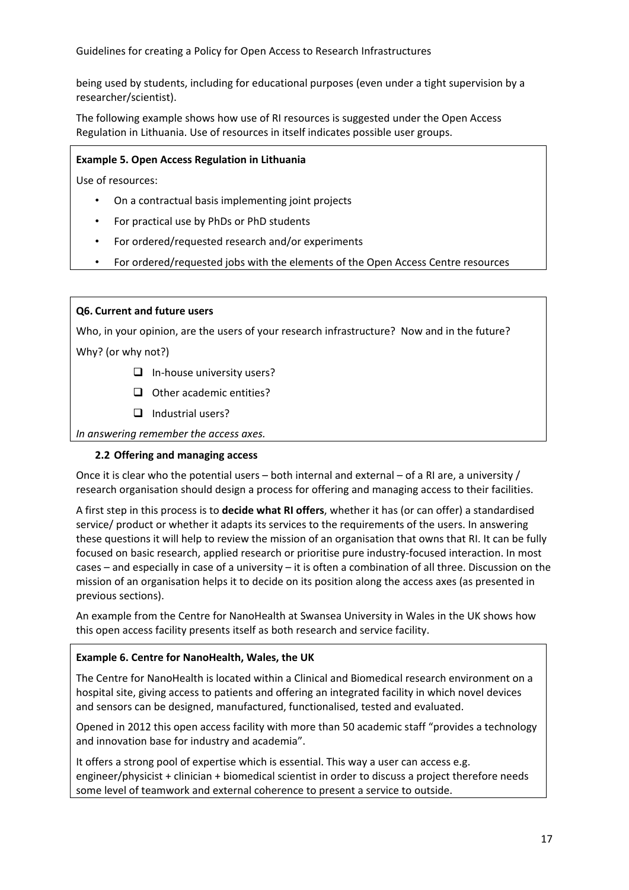being used by students, including for educational purposes (even under a tight supervision by a researcher/scientist).

The following example shows how use of RI resources is suggested under the Open Access Regulation in Lithuania. Use of resources in itself indicates possible user groups.

#### **Example 5. Open Access Regulation in Lithuania**

Use of resources:

- On a contractual basis implementing joint projects
- For practical use by PhDs or PhD students
- For ordered/requested research and/or experiments
- For ordered/requested jobs with the elements of the Open Access Centre resources

#### **Q6. Current and future users**

Who, in your opinion, are the users of your research infrastructure? Now and in the future?

Why? (or why not?)

- $\Box$  In-house university users?
- $\Box$  Other academic entities?
- $\Box$  Industrial users?

*In answering remember the access axes.* 

#### **2.2 Offering and managing access**

Once it is clear who the potential users – both internal and external – of a RI are, a university / research organisation should design a process for offering and managing access to their facilities.

A first step in this process is to **decide what RI offers**, whether it has (or can offer) a standardised service/ product or whether it adapts its services to the requirements of the users. In answering these questions it will help to review the mission of an organisation that owns that RI. It can be fully focused on basic research, applied research or prioritise pure industry-focused interaction. In most cases – and especially in case of a university – it is often a combination of all three. Discussion on the mission of an organisation helps it to decide on its position along the access axes (as presented in previous sections).

An example from the Centre for NanoHealth at Swansea University in Wales in the UK shows how this open access facility presents itself as both research and service facility.

#### **Example 6. Centre for NanoHealth, Wales, the UK**

The Centre for NanoHealth is located within a Clinical and Biomedical research environment on a hospital site, giving access to patients and offering an integrated facility in which novel devices and sensors can be designed, manufactured, functionalised, tested and evaluated.

Opened in 2012 this open access facility with more than 50 academic staff "provides a technology and innovation base for industry and academia".

It offers a strong pool of expertise which is essential. This way a user can access e.g. engineer/physicist + clinician + biomedical scientist in order to discuss a project therefore needs some level of teamwork and external coherence to present a service to outside.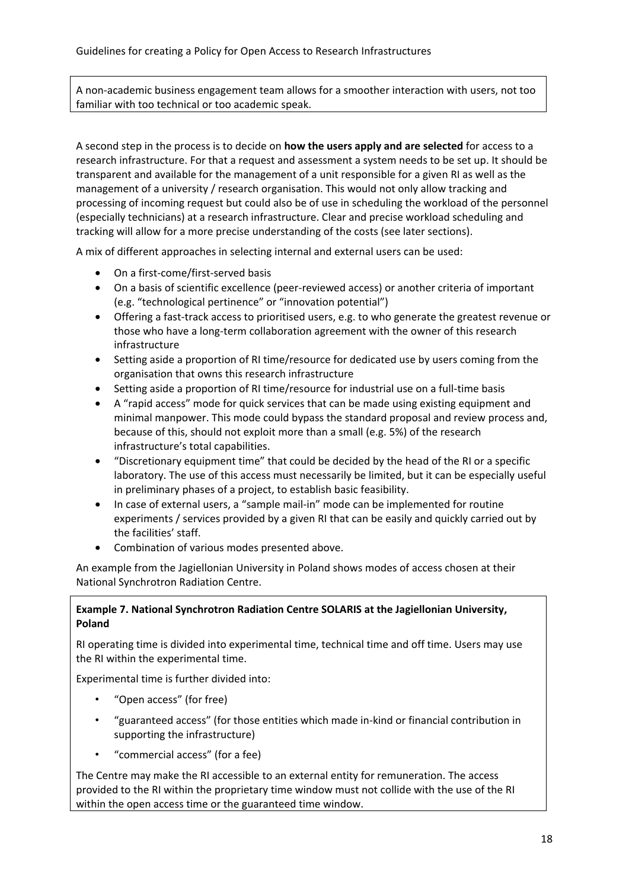A non-academic business engagement team allows for a smoother interaction with users, not too familiar with too technical or too academic speak.

A second step in the process is to decide on **how the users apply and are selected** for access to a research infrastructure. For that a request and assessment a system needs to be set up. It should be transparent and available for the management of a unit responsible for a given RI as well as the management of a university / research organisation. This would not only allow tracking and processing of incoming request but could also be of use in scheduling the workload of the personnel (especially technicians) at a research infrastructure. Clear and precise workload scheduling and tracking will allow for a more precise understanding of the costs (see later sections).

A mix of different approaches in selecting internal and external users can be used:

- On a first-come/first-served basis
- On a basis of scientific excellence (peer-reviewed access) or another criteria of important (e.g. "technological pertinence" or "innovation potential")
- Offering a fast-track access to prioritised users, e.g. to who generate the greatest revenue or those who have a long-term collaboration agreement with the owner of this research infrastructure
- Setting aside a proportion of RI time/resource for dedicated use by users coming from the organisation that owns this research infrastructure
- Setting aside a proportion of RI time/resource for industrial use on a full-time basis
- A "rapid access" mode for quick services that can be made using existing equipment and minimal manpower. This mode could bypass the standard proposal and review process and, because of this, should not exploit more than a small (e.g. 5%) of the research infrastructure's total capabilities.
- "Discretionary equipment time" that could be decided by the head of the RI or a specific laboratory. The use of this access must necessarily be limited, but it can be especially useful in preliminary phases of a project, to establish basic feasibility.
- In case of external users, a "sample mail-in" mode can be implemented for routine experiments / services provided by a given RI that can be easily and quickly carried out by the facilities' staff.
- Combination of various modes presented above.

An example from the Jagiellonian University in Poland shows modes of access chosen at their National Synchrotron Radiation Centre.

## **Example 7. National Synchrotron Radiation Centre SOLARIS at the Jagiellonian University, Poland**

RI operating time is divided into experimental time, technical time and off time. Users may use the RI within the experimental time.

Experimental time is further divided into:

- "Open access" (for free)
- "guaranteed access" (for those entities which made in-kind or financial contribution in supporting the infrastructure)
- "commercial access" (for a fee)

The Centre may make the RI accessible to an external entity for remuneration. The access provided to the RI within the proprietary time window must not collide with the use of the RI within the open access time or the guaranteed time window.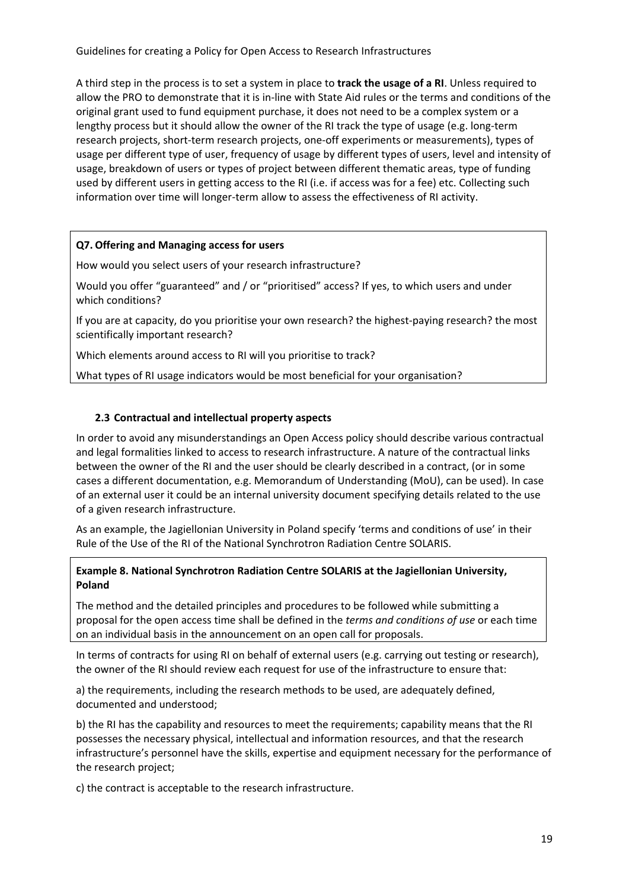A third step in the process is to set a system in place to **track the usage of a RI**. Unless required to allow the PRO to demonstrate that it is in-line with State Aid rules or the terms and conditions of the original grant used to fund equipment purchase, it does not need to be a complex system or a lengthy process but it should allow the owner of the RI track the type of usage (e.g. long-term research projects, short-term research projects, one-off experiments or measurements), types of usage per different type of user, frequency of usage by different types of users, level and intensity of usage, breakdown of users or types of project between different thematic areas, type of funding used by different users in getting access to the RI (i.e. if access was for a fee) etc. Collecting such information over time will longer-term allow to assess the effectiveness of RI activity.

#### **Q7. Offering and Managing access for users**

How would you select users of your research infrastructure?

Would you offer "guaranteed" and / or "prioritised" access? If yes, to which users and under which conditions?

If you are at capacity, do you prioritise your own research? the highest-paying research? the most scientifically important research?

Which elements around access to RI will you prioritise to track?

What types of RI usage indicators would be most beneficial for your organisation?

## **2.3 Contractual and intellectual property aspects**

In order to avoid any misunderstandings an Open Access policy should describe various contractual and legal formalities linked to access to research infrastructure. A nature of the contractual links between the owner of the RI and the user should be clearly described in a contract, (or in some cases a different documentation, e.g. Memorandum of Understanding (MoU), can be used). In case of an external user it could be an internal university document specifying details related to the use of a given research infrastructure.

As an example, the Jagiellonian University in Poland specify 'terms and conditions of use' in their Rule of the Use of the RI of the National Synchrotron Radiation Centre SOLARIS.

## **Example 8. National Synchrotron Radiation Centre SOLARIS at the Jagiellonian University, Poland**

The method and the detailed principles and procedures to be followed while submitting a proposal for the open access time shall be defined in the *terms and conditions of use* or each time on an individual basis in the announcement on an open call for proposals.

In terms of contracts for using RI on behalf of external users (e.g. carrying out testing or research), the owner of the RI should review each request for use of the infrastructure to ensure that:

a) the requirements, including the research methods to be used, are adequately defined, documented and understood;

b) the RI has the capability and resources to meet the requirements; capability means that the RI possesses the necessary physical, intellectual and information resources, and that the research infrastructure's personnel have the skills, expertise and equipment necessary for the performance of the research project;

c) the contract is acceptable to the research infrastructure.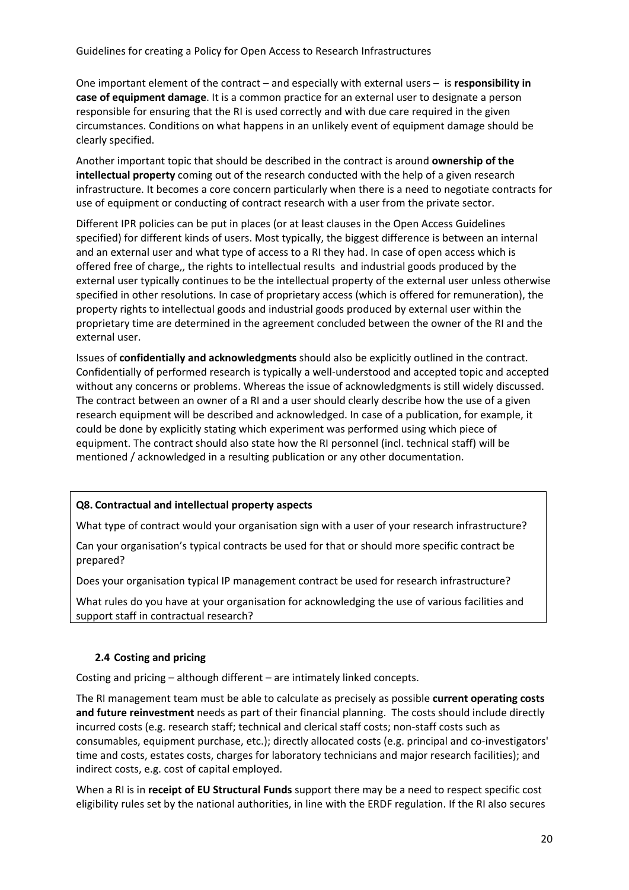One important element of the contract – and especially with external users – is **responsibility in case of equipment damage**. It is a common practice for an external user to designate a person responsible for ensuring that the RI is used correctly and with due care required in the given circumstances. Conditions on what happens in an unlikely event of equipment damage should be clearly specified.

Another important topic that should be described in the contract is around **ownership of the intellectual property** coming out of the research conducted with the help of a given research infrastructure. It becomes a core concern particularly when there is a need to negotiate contracts for use of equipment or conducting of contract research with a user from the private sector.

Different IPR policies can be put in places (or at least clauses in the Open Access Guidelines specified) for different kinds of users. Most typically, the biggest difference is between an internal and an external user and what type of access to a RI they had. In case of open access which is offered free of charge,, the rights to intellectual results and industrial goods produced by the external user typically continues to be the intellectual property of the external user unless otherwise specified in other resolutions. In case of proprietary access (which is offered for remuneration), the property rights to intellectual goods and industrial goods produced by external user within the proprietary time are determined in the agreement concluded between the owner of the RI and the external user.

Issues of **confidentially and acknowledgments** should also be explicitly outlined in the contract. Confidentially of performed research is typically a well-understood and accepted topic and accepted without any concerns or problems. Whereas the issue of acknowledgments is still widely discussed. The contract between an owner of a RI and a user should clearly describe how the use of a given research equipment will be described and acknowledged. In case of a publication, for example, it could be done by explicitly stating which experiment was performed using which piece of equipment. The contract should also state how the RI personnel (incl. technical staff) will be mentioned / acknowledged in a resulting publication or any other documentation.

#### **Q8. Contractual and intellectual property aspects**

What type of contract would your organisation sign with a user of your research infrastructure?

Can your organisation's typical contracts be used for that or should more specific contract be prepared?

Does your organisation typical IP management contract be used for research infrastructure?

What rules do you have at your organisation for acknowledging the use of various facilities and support staff in contractual research?

#### **2.4 Costing and pricing**

Costing and pricing – although different – are intimately linked concepts.

The RI management team must be able to calculate as precisely as possible **current operating costs and future reinvestment** needs as part of their financial planning. The costs should include directly incurred costs (e.g. research staff; technical and clerical staff costs; non-staff costs such as consumables, equipment purchase, etc.); directly allocated costs (e.g. principal and co-investigators' time and costs, estates costs, charges for laboratory technicians and major research facilities); and indirect costs, e.g. cost of capital employed.

When a RI is in **receipt of EU Structural Funds** support there may be a need to respect specific cost eligibility rules set by the national authorities, in line with the ERDF regulation. If the RI also secures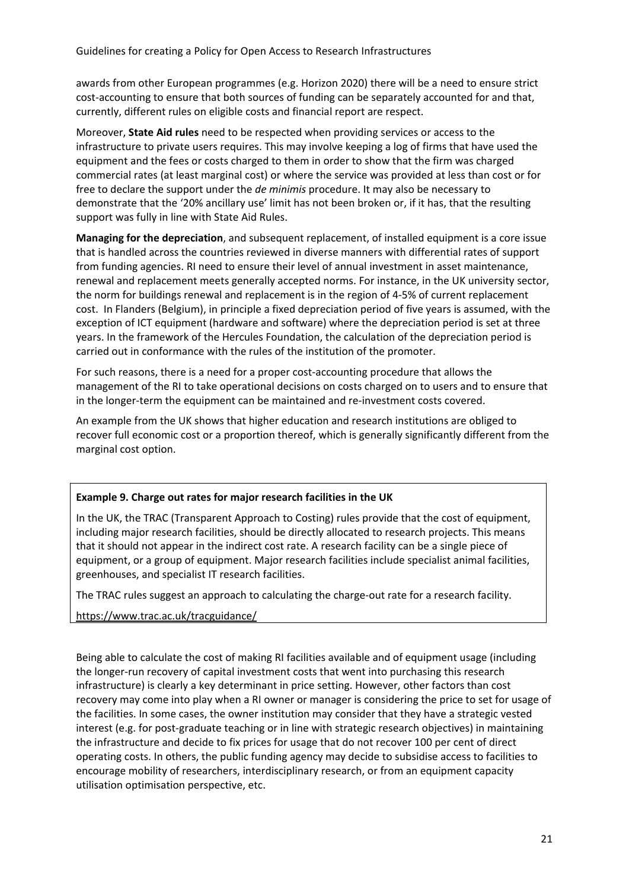awards from other European programmes (e.g. Horizon 2020) there will be a need to ensure strict cost-accounting to ensure that both sources of funding can be separately accounted for and that, currently, different rules on eligible costs and financial report are respect.

Moreover, **State Aid rules** need to be respected when providing services or access to the infrastructure to private users requires. This may involve keeping a log of firms that have used the equipment and the fees or costs charged to them in order to show that the firm was charged commercial rates (at least marginal cost) or where the service was provided at less than cost or for free to declare the support under the *de minimis* procedure. It may also be necessary to demonstrate that the '20% ancillary use' limit has not been broken or, if it has, that the resulting support was fully in line with State Aid Rules.

**Managing for the depreciation**, and subsequent replacement, of installed equipment is a core issue that is handled across the countries reviewed in diverse manners with differential rates of support from funding agencies. RI need to ensure their level of annual investment in asset maintenance, renewal and replacement meets generally accepted norms. For instance, in the UK university sector, the norm for buildings renewal and replacement is in the region of 4-5% of current replacement cost. In Flanders (Belgium), in principle a fixed depreciation period of five years is assumed, with the exception of ICT equipment (hardware and software) where the depreciation period is set at three years. In the framework of the Hercules Foundation, the calculation of the depreciation period is carried out in conformance with the rules of the institution of the promoter.

For such reasons, there is a need for a proper cost-accounting procedure that allows the management of the RI to take operational decisions on costs charged on to users and to ensure that in the longer-term the equipment can be maintained and re-investment costs covered.

An example from the UK shows that higher education and research institutions are obliged to recover full economic cost or a proportion thereof, which is generally significantly different from the marginal cost option.

#### **Example 9. Charge out rates for major research facilities in the UK**

In the UK, the TRAC (Transparent Approach to Costing) rules provide that the cost of equipment, including major research facilities, should be directly allocated to research projects. This means that it should not appear in the indirect cost rate. A research facility can be a single piece of equipment, or a group of equipment. Major research facilities include specialist animal facilities, greenhouses, and specialist IT research facilities.

The TRAC rules suggest an approach to calculating the charge-out rate for a research facility.

https://www.trac.ac.uk/tracguidance/

Being able to calculate the cost of making RI facilities available and of equipment usage (including the longer-run recovery of capital investment costs that went into purchasing this research infrastructure) is clearly a key determinant in price setting. However, other factors than cost recovery may come into play when a RI owner or manager is considering the price to set for usage of the facilities. In some cases, the owner institution may consider that they have a strategic vested interest (e.g. for post-graduate teaching or in line with strategic research objectives) in maintaining the infrastructure and decide to fix prices for usage that do not recover 100 per cent of direct operating costs. In others, the public funding agency may decide to subsidise access to facilities to encourage mobility of researchers, interdisciplinary research, or from an equipment capacity utilisation optimisation perspective, etc.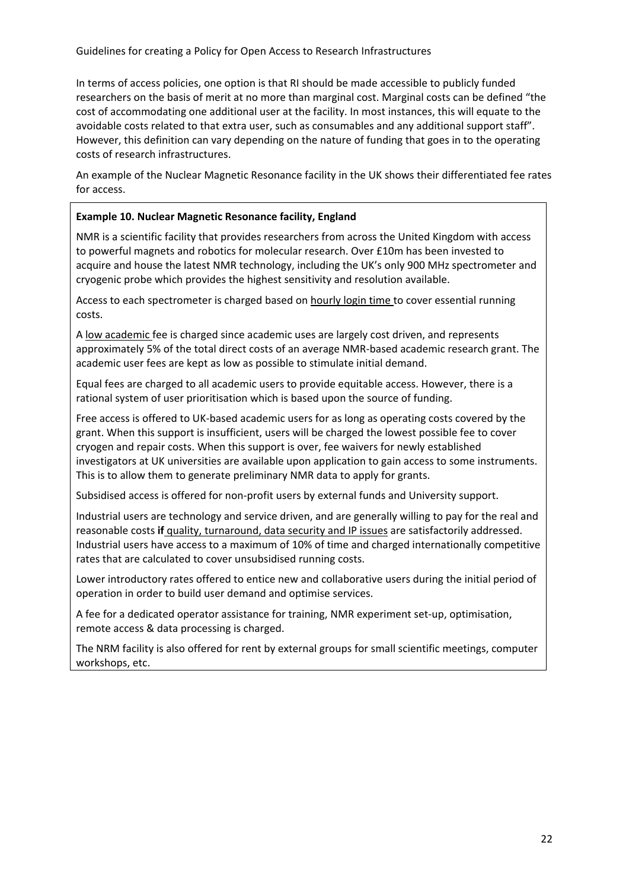In terms of access policies, one option is that RI should be made accessible to publicly funded researchers on the basis of merit at no more than marginal cost. Marginal costs can be defined "the cost of accommodating one additional user at the facility. In most instances, this will equate to the avoidable costs related to that extra user, such as consumables and any additional support staff". However, this definition can vary depending on the nature of funding that goes in to the operating costs of research infrastructures.

An example of the Nuclear Magnetic Resonance facility in the UK shows their differentiated fee rates for access.

#### **Example 10. Nuclear Magnetic Resonance facility, England**

NMR is a scientific facility that provides researchers from across the United Kingdom with access to powerful magnets and robotics for molecular research. Over £10m has been invested to acquire and house the latest NMR technology, including the UK's only 900 MHz spectrometer and cryogenic probe which provides the highest sensitivity and resolution available.

Access to each spectrometer is charged based on hourly login time to cover essential running costs.

A low academic fee is charged since academic uses are largely cost driven, and represents approximately 5% of the total direct costs of an average NMR-based academic research grant. The academic user fees are kept as low as possible to stimulate initial demand.

Equal fees are charged to all academic users to provide equitable access. However, there is a rational system of user prioritisation which is based upon the source of funding.

Free access is offered to UK-based academic users for as long as operating costs covered by the grant. When this support is insufficient, users will be charged the lowest possible fee to cover cryogen and repair costs. When this support is over, fee waivers for newly established investigators at UK universities are available upon application to gain access to some instruments. This is to allow them to generate preliminary NMR data to apply for grants.

Subsidised access is offered for non-profit users by external funds and University support.

Industrial users are technology and service driven, and are generally willing to pay for the real and reasonable costs **if** quality, turnaround, data security and IP issues are satisfactorily addressed. Industrial users have access to a maximum of 10% of time and charged internationally competitive rates that are calculated to cover unsubsidised running costs.

Lower introductory rates offered to entice new and collaborative users during the initial period of operation in order to build user demand and optimise services.

A fee for a dedicated operator assistance for training, NMR experiment set-up, optimisation, remote access & data processing is charged.

The NRM facility is also offered for rent by external groups for small scientific meetings, computer workshops, etc.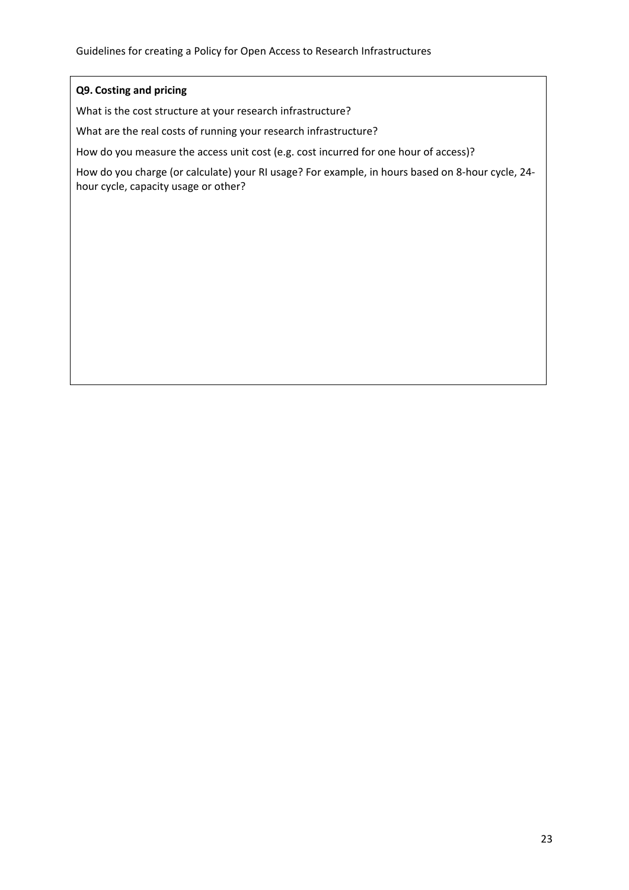## **Q9. Costing and pricing**

What is the cost structure at your research infrastructure?

What are the real costs of running your research infrastructure?

How do you measure the access unit cost (e.g. cost incurred for one hour of access)?

How do you charge (or calculate) your RI usage? For example, in hours based on 8-hour cycle, 24 hour cycle, capacity usage or other?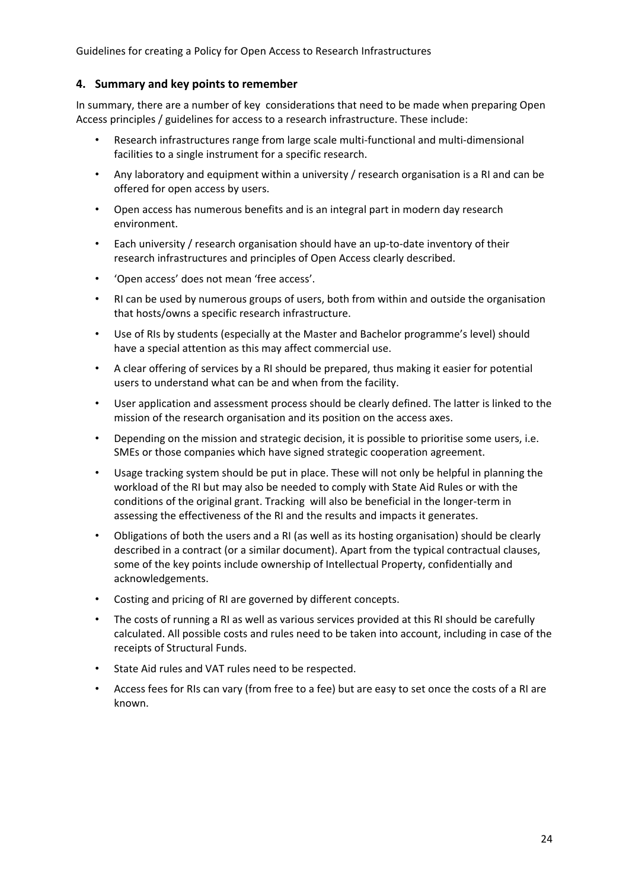## **4. Summary and key points to remember**

In summary, there are a number of key considerations that need to be made when preparing Open Access principles / guidelines for access to a research infrastructure. These include:

- Research infrastructures range from large scale multi-functional and multi-dimensional facilities to a single instrument for a specific research.
- Any laboratory and equipment within a university / research organisation is a RI and can be offered for open access by users.
- Open access has numerous benefits and is an integral part in modern day research environment.
- Each university / research organisation should have an up-to-date inventory of their research infrastructures and principles of Open Access clearly described.
- 'Open access' does not mean 'free access'.
- RI can be used by numerous groups of users, both from within and outside the organisation that hosts/owns a specific research infrastructure.
- Use of RIs by students (especially at the Master and Bachelor programme's level) should have a special attention as this may affect commercial use.
- A clear offering of services by a RI should be prepared, thus making it easier for potential users to understand what can be and when from the facility.
- User application and assessment process should be clearly defined. The latter is linked to the mission of the research organisation and its position on the access axes.
- Depending on the mission and strategic decision, it is possible to prioritise some users, i.e. SMEs or those companies which have signed strategic cooperation agreement.
- Usage tracking system should be put in place. These will not only be helpful in planning the workload of the RI but may also be needed to comply with State Aid Rules or with the conditions of the original grant. Tracking will also be beneficial in the longer-term in assessing the effectiveness of the RI and the results and impacts it generates.
- Obligations of both the users and a RI (as well as its hosting organisation) should be clearly described in a contract (or a similar document). Apart from the typical contractual clauses, some of the key points include ownership of Intellectual Property, confidentially and acknowledgements.
- Costing and pricing of RI are governed by different concepts.
- The costs of running a RI as well as various services provided at this RI should be carefully calculated. All possible costs and rules need to be taken into account, including in case of the receipts of Structural Funds.
- State Aid rules and VAT rules need to be respected.
- Access fees for RIs can vary (from free to a fee) but are easy to set once the costs of a RI are known.